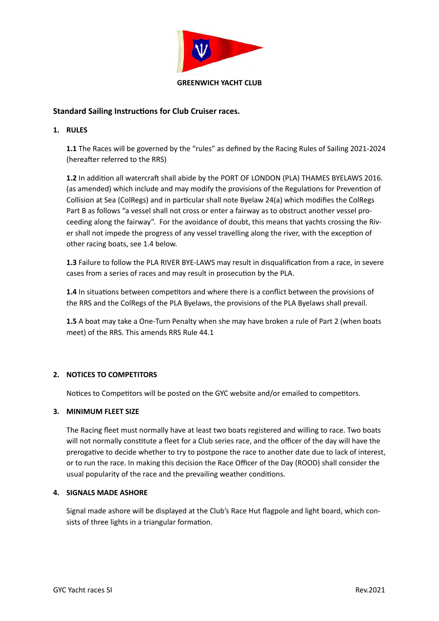

# **Standard Sailing Instructions for Club Cruiser races.**

## **1. RULES**

**1.1** The Races will be governed by the "rules" as defined by the Racing Rules of Sailing 2021-2024 (hereafter referred to the RRS)

**1.2** In addition all watercraft shall abide by the PORT OF LONDON (PLA) THAMES BYELAWS 2016. (as amended) which include and may modify the provisions of the Regulations for Prevention of Collision at Sea (ColRegs) and in particular shall note Byelaw 24(a) which modifies the ColRegs Part B as follows "a vessel shall not cross or enter a fairway as to obstruct another vessel proceeding along the fairway". For the avoidance of doubt, this means that yachts crossing the River shall not impede the progress of any vessel travelling along the river, with the exception of other racing boats, see 1.4 below.

**1.3** Failure to follow the PLA RIVER BYE-LAWS may result in disqualification from a race, in severe cases from a series of races and may result in prosecution by the PLA.

**1.4** In situations between competitors and where there is a conflict between the provisions of the RRS and the ColRegs of the PLA Byelaws, the provisions of the PLA Byelaws shall prevail.

**1.5** A boat may take a One-Turn Penalty when she may have broken a rule of Part 2 (when boats meet) of the RRS. This amends RRS Rule 44.1

# **2. NOTICES TO COMPETITORS**

Notices to Competitors will be posted on the GYC website and/or emailed to competitors.

## **3. MINIMUM FLEET SIZE**

The Racing fleet must normally have at least two boats registered and willing to race. Two boats will not normally constitute a fleet for a Club series race, and the officer of the day will have the prerogative to decide whether to try to postpone the race to another date due to lack of interest, or to run the race. In making this decision the Race Officer of the Day (ROOD) shall consider the usual popularity of the race and the prevailing weather conditions.

## **4. SIGNALS MADE ASHORE**

Signal made ashore will be displayed at the Club's Race Hut flagpole and light board, which consists of three lights in a triangular formation.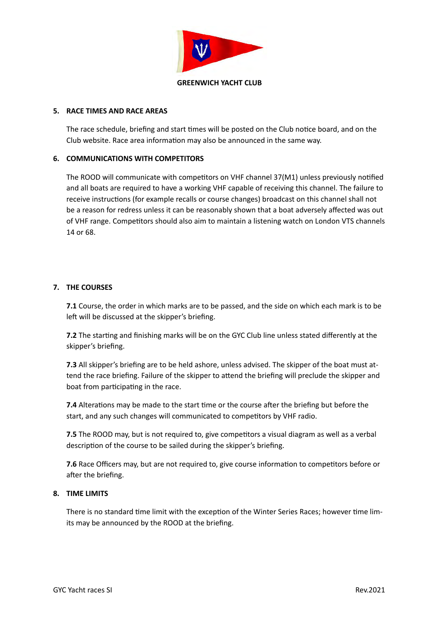

#### **5.** RACE TIMES AND RACE AREAS

The race schedule, briefing and start times will be posted on the Club notice board, and on the Club website. Race area information may also be announced in the same way.

### **6. COMMUNICATIONS WITH COMPETITORS**

The ROOD will communicate with competitors on VHF channel 37(M1) unless previously notified and all boats are required to have a working VHF capable of receiving this channel. The failure to receive instructions (for example recalls or course changes) broadcast on this channel shall not be a reason for redress unless it can be reasonably shown that a boat adversely affected was out of VHF range. Competitors should also aim to maintain a listening watch on London VTS channels 14 or 68.

#### **7. THE COURSES**

**7.1** Course, the order in which marks are to be passed, and the side on which each mark is to be left will be discussed at the skipper's briefing.

**7.2** The starting and finishing marks will be on the GYC Club line unless stated differently at the skipper's briefing.

**7.3** All skipper's briefing are to be held ashore, unless advised. The skipper of the boat must attend the race briefing. Failure of the skipper to attend the briefing will preclude the skipper and boat from participating in the race.

**7.4** Alterations may be made to the start time or the course after the briefing but before the start, and any such changes will communicated to competitors by VHF radio.

**7.5** The ROOD may, but is not required to, give competitors a visual diagram as well as a verbal description of the course to be sailed during the skipper's briefing.

**7.6** Race Officers may, but are not required to, give course information to competitors before or after the briefing.

#### **8. TIME LIMITS**

There is no standard time limit with the exception of the Winter Series Races; however time limits may be announced by the ROOD at the briefing.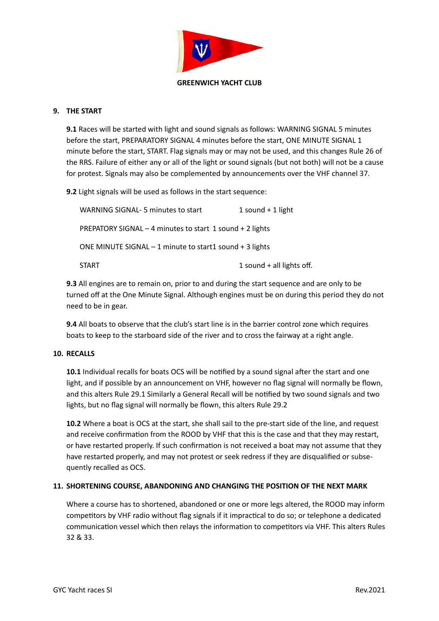

### **9. THE START**

**9.1** Races will be started with light and sound signals as follows: WARNING SIGNAL 5 minutes before the start, PREPARATORY SIGNAL 4 minutes before the start, ONE MINUTE SIGNAL 1 minute before the start, START. Flag signals may or may not be used, and this changes Rule 26 of the RRS. Failure of either any or all of the light or sound signals (but not both) will not be a cause for protest. Signals may also be complemented by announcements over the VHF channel 37.

**9.2** Light signals will be used as follows in the start sequence:

| WARNING SIGNAL-5 minutes to start                         | 1 sound $+$ 1 light         |
|-----------------------------------------------------------|-----------------------------|
| PREPATORY SIGNAL - 4 minutes to start 1 sound + 2 lights  |                             |
| ONE MINUTE SIGNAL $-1$ minute to start1 sound $+3$ lights |                             |
| <b>START</b>                                              | 1 sound $+$ all lights off. |

**9.3** All engines are to remain on, prior to and during the start sequence and are only to be turned off at the One Minute Signal. Although engines must be on during this period they do not need to be in gear.

**9.4** All boats to observe that the club's start line is in the barrier control zone which requires boats to keep to the starboard side of the river and to cross the fairway at a right angle.

## **10. RECALLS**

**10.1** Individual recalls for boats OCS will be notified by a sound signal after the start and one light, and if possible by an announcement on VHF, however no flag signal will normally be flown, and this alters Rule 29.1 Similarly a General Recall will be notified by two sound signals and two lights, but no flag signal will normally be flown, this alters Rule 29.2

**10.2** Where a boat is OCS at the start, she shall sail to the pre-start side of the line, and request and receive confirmation from the ROOD by VHF that this is the case and that they may restart, or have restarted properly. If such confirmation is not received a boat may not assume that they have restarted properly, and may not protest or seek redress if they are disqualified or subsequently recalled as OCS.

## **11. SHORTENING COURSE, ABANDONING AND CHANGING THE POSITION OF THE NEXT MARK**

Where a course has to shortened, abandoned or one or more legs altered, the ROOD may inform competitors by VHF radio without flag signals if it impractical to do so; or telephone a dedicated communication vessel which then relays the information to competitors via VHF. This alters Rules 32 & 33.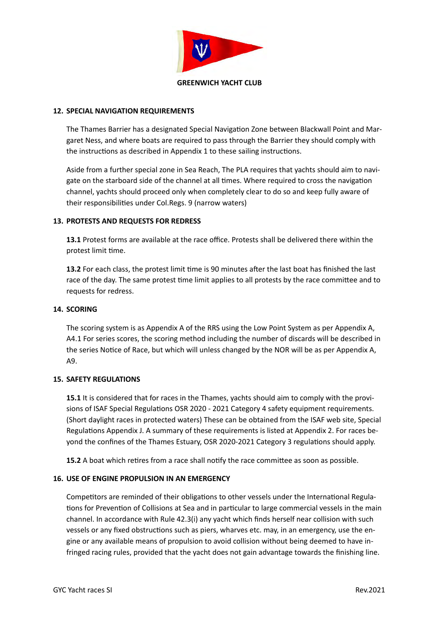

### **12. SPECIAL NAVIGATION REQUIREMENTS**

The Thames Barrier has a designated Special Navigation Zone between Blackwall Point and Margaret Ness, and where boats are required to pass through the Barrier they should comply with the instructions as described in Appendix 1 to these sailing instructions.

Aside from a further special zone in Sea Reach, The PLA requires that yachts should aim to navigate on the starboard side of the channel at all times. Where required to cross the navigation channel, yachts should proceed only when completely clear to do so and keep fully aware of their responsibilities under Col.Regs. 9 (narrow waters)

#### **13. PROTESTS AND REQUESTS FOR REDRESS**

**13.1** Protest forms are available at the race office. Protests shall be delivered there within the protest limit time.

**13.2** For each class, the protest limit time is 90 minutes after the last boat has finished the last race of the day. The same protest time limit applies to all protests by the race committee and to requests for redress.

#### **14. SCORING**

The scoring system is as Appendix A of the RRS using the Low Point System as per Appendix A, A4.1 For series scores, the scoring method including the number of discards will be described in the series Notice of Race, but which will unless changed by the NOR will be as per Appendix A, A9.

## **15. SAFETY REGULATIONS**

**15.1** It is considered that for races in the Thames, yachts should aim to comply with the provisions of ISAF Special Regulations OSR 2020 - 2021 Category 4 safety equipment requirements. (Short daylight races in protected waters) These can be obtained from the ISAF web site, Special Regulations Appendix J. A summary of these requirements is listed at Appendix 2. For races beyond the confines of the Thames Estuary, OSR 2020-2021 Category 3 regulations should apply.

**15.2** A boat which retires from a race shall notify the race committee as soon as possible.

#### **16. USE OF ENGINE PROPULSION IN AN EMERGENCY**

Competitors are reminded of their obligations to other vessels under the International Regulations for Prevention of Collisions at Sea and in particular to large commercial vessels in the main channel. In accordance with Rule 42.3(i) any yacht which finds herself near collision with such vessels or any fixed obstructions such as piers, wharves etc. may, in an emergency, use the engine or any available means of propulsion to avoid collision without being deemed to have infringed racing rules, provided that the yacht does not gain advantage towards the finishing line.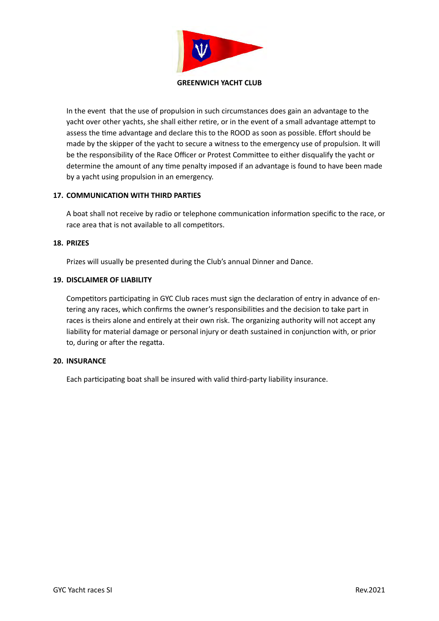

In the event that the use of propulsion in such circumstances does gain an advantage to the yacht over other yachts, she shall either retire, or in the event of a small advantage attempt to assess the time advantage and declare this to the ROOD as soon as possible. Effort should be made by the skipper of the yacht to secure a witness to the emergency use of propulsion. It will be the responsibility of the Race Officer or Protest Committee to either disqualify the yacht or determine the amount of any time penalty imposed if an advantage is found to have been made by a yacht using propulsion in an emergency.

## **17. COMMUNICATION WITH THIRD PARTIES**

A boat shall not receive by radio or telephone communication information specific to the race, or race area that is not available to all competitors.

#### **18. PRIZES**

Prizes will usually be presented during the Club's annual Dinner and Dance.

#### **19. DISCLAIMER OF LIABILITY**

Competitors participating in GYC Club races must sign the declaration of entry in advance of entering any races, which confirms the owner's responsibilities and the decision to take part in races is theirs alone and entirely at their own risk. The organizing authority will not accept any liability for material damage or personal injury or death sustained in conjunction with, or prior to, during or after the regatta.

#### **20. INSURANCE**

Each participating boat shall be insured with valid third-party liability insurance.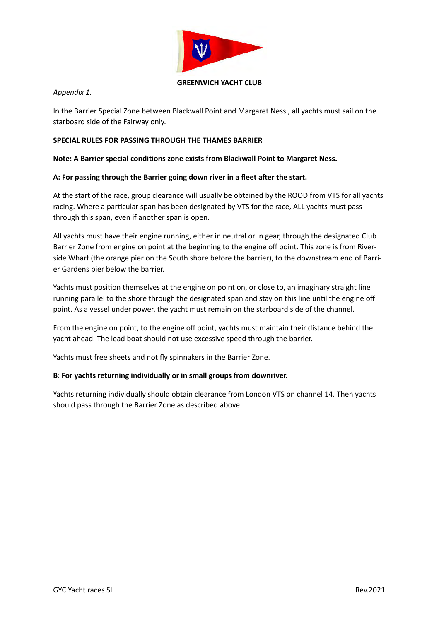

### **GREENWICH YACHT CLUB**

*Appendix 1.*

In the Barrier Special Zone between Blackwall Point and Margaret Ness, all yachts must sail on the starboard side of the Fairway only.

## **SPECIAL RULES FOR PASSING THROUGH THE THAMES BARRIER**

## Note: A Barrier special conditions zone exists from Blackwall Point to Margaret Ness.

## A: For passing through the Barrier going down river in a fleet after the start.

At the start of the race, group clearance will usually be obtained by the ROOD from VTS for all yachts racing. Where a particular span has been designated by VTS for the race, ALL yachts must pass through this span, even if another span is open.

All yachts must have their engine running, either in neutral or in gear, through the designated Club Barrier Zone from engine on point at the beginning to the engine off point. This zone is from Riverside Wharf (the orange pier on the South shore before the barrier), to the downstream end of Barrier Gardens pier below the barrier.

Yachts must position themselves at the engine on point on, or close to, an imaginary straight line running parallel to the shore through the designated span and stay on this line until the engine off point. As a vessel under power, the yacht must remain on the starboard side of the channel.

From the engine on point, to the engine off point, yachts must maintain their distance behind the yacht ahead. The lead boat should not use excessive speed through the barrier.

Yachts must free sheets and not fly spinnakers in the Barrier Zone.

# **B**: For yachts returning individually or in small groups from downriver.

Yachts returning individually should obtain clearance from London VTS on channel 14. Then yachts should pass through the Barrier Zone as described above.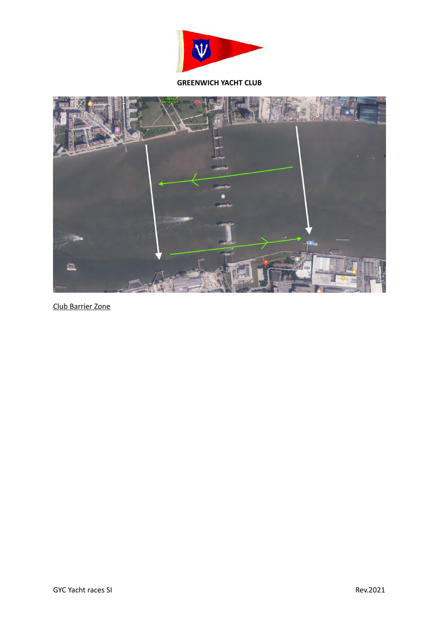

### **GREENWICH YACHT CLUB**



Club Barrier Zone